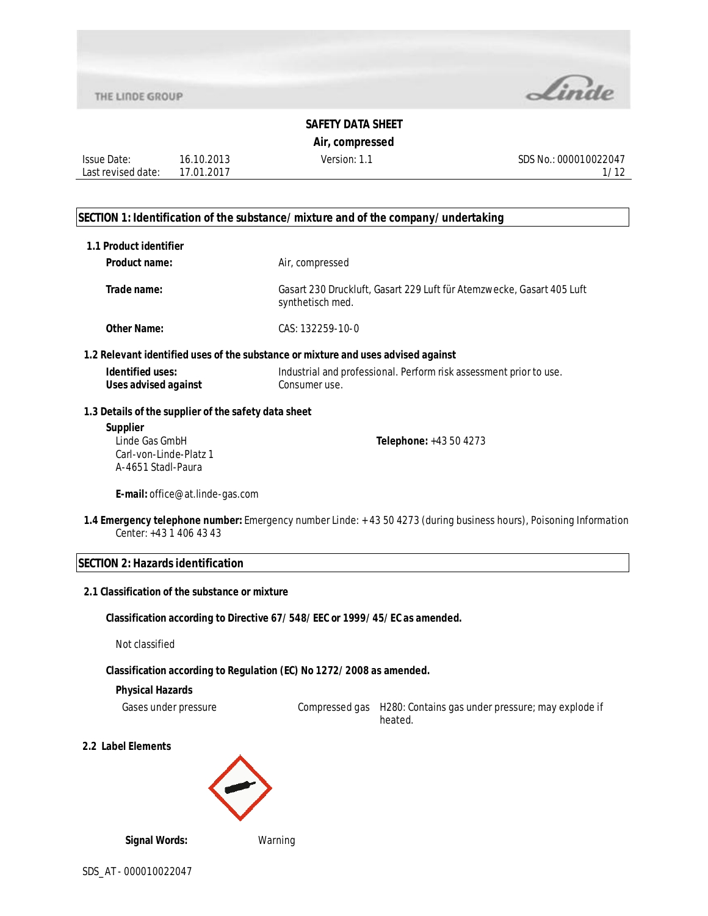16.10.2013 17.01.2017

Issue Date: Last revised date:



# **SAFETY DATA SHEET**

#### **Air, compressed**

Version: 1.1 SDS No.: 000010022047 1/12

#### **SECTION 1: Identification of the substance/mixture and of the company/undertaking**

| 1.1 Product identifier                               |                                                                                                                    |
|------------------------------------------------------|--------------------------------------------------------------------------------------------------------------------|
| Product name:                                        | Air, compressed                                                                                                    |
| Trade name:                                          | Gasart 230 Druckluft, Gasart 229 Luft für Atemzwecke, Gasart 405 Luft<br>synthetisch med.                          |
| <b>Other Name:</b>                                   | CAS: 132259-10-0                                                                                                   |
|                                                      | 1.2 Relevant identified uses of the substance or mixture and uses advised against                                  |
| Identified uses:<br><b>Uses advised against</b>      | Industrial and professional. Perform risk assessment prior to use.<br>Consumer use.                                |
| 1.3 Details of the supplier of the safety data sheet |                                                                                                                    |
| <b>Supplier</b>                                      |                                                                                                                    |
| Linde Gas GmbH                                       | Telephone: +43 50 4273                                                                                             |
| Carl-von-Linde-Platz 1                               |                                                                                                                    |
| A-4651 Stadl-Paura                                   |                                                                                                                    |
| E-mail: office@at.linde-gas.com                      |                                                                                                                    |
| Center: +43 1 406 43 43                              | 1.4 Emergency telephone number: Emergency number Linde: +43 50 4273 (during business hours), Poisoning Information |
| <b>SECTION 2: Hazards identification</b>             |                                                                                                                    |
| 2.1 Classification of the substance or mixture       |                                                                                                                    |
|                                                      | Classification according to Directive 67/548/EEC or 1999/45/EC as amended.                                         |

Not classified

#### **Classification according to Regulation (EC) No 1272/2008 as amended.**

#### **Physical Hazards**

Gases under pressure Compressed gas H280: Contains gas under pressure; may explode if heated.

**2.2 Label Elements**



**Signal Words:** Warning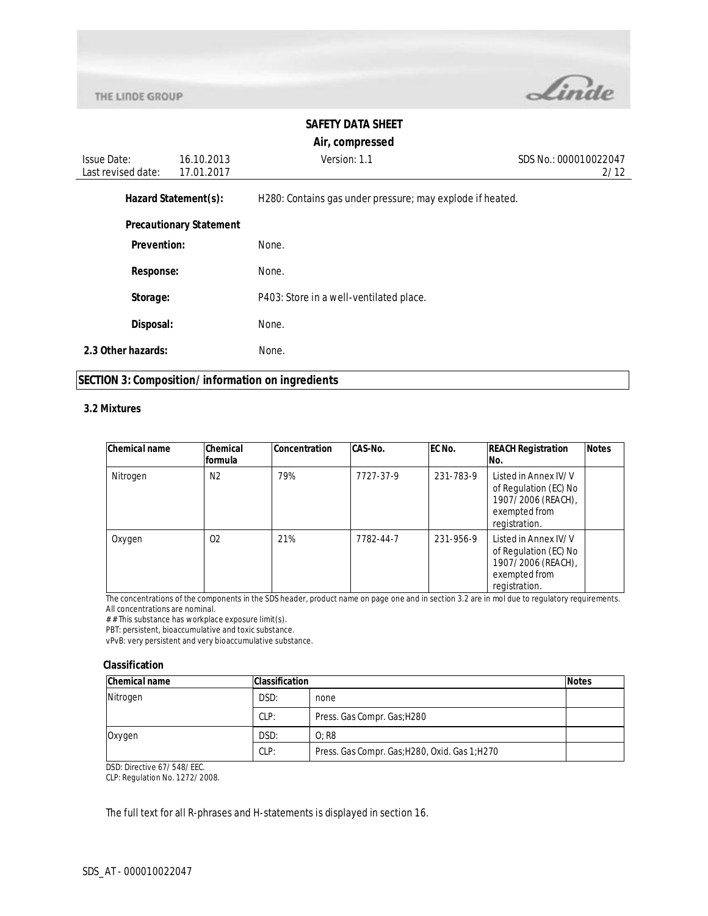

### **SAFETY DATA SHEET**

#### **Air, compressed**

Issue Date: Last revised date: 16.10.2013 17.01.2017 Version: 1.1 SDS No.: 000010022047 2/12 Hazard Statement(s): H280: Contains gas under pressure; may explode if heated. **Precautionary Statement Prevention:** None. **Response:** None. **Storage:** P403: Store in a well-ventilated place. **Disposal:** None. **2.3 Other hazards:** None.

#### **SECTION 3: Composition/information on ingredients**

#### **3.2 Mixtures**

| <b>Chemical name</b> | Chemical<br>formula | <b>Concentration</b> | <b>CAS-No.</b> | EC No.    | <b>REACH Registration</b><br>No.                                                                      | <b>Notes</b> |
|----------------------|---------------------|----------------------|----------------|-----------|-------------------------------------------------------------------------------------------------------|--------------|
| Nitrogen             | N <sub>2</sub>      | 79%                  | 7727-37-9      | 231-783-9 | Listed in Annex IV/V<br>of Regulation (EC) No<br>1907/2006 (REACH),<br>exempted from<br>registration. |              |
| Oxygen               | 02                  | 21%                  | 7782-44-7      | 231-956-9 | Listed in Annex IV/V<br>of Regulation (EC) No<br>1907/2006 (REACH),<br>exempted from<br>registration. |              |

The concentrations of the components in the SDS header, product name on page one and in section 3.2 are in mol due to regulatory requirements. All concentrations are nominal.

# # This substance has workplace exposure limit(s).

PBT: persistent, bioaccumulative and toxic substance.

vPvB: very persistent and very bioaccumulative substance.

#### **Classification**

| <b>Chemical name</b> | <b>Classification</b> |                                                | <b>Notes</b> |
|----------------------|-----------------------|------------------------------------------------|--------------|
| Nitrogen             | DSD:                  | none                                           |              |
|                      | CLP:                  | Press. Gas Compr. Gas; H280                    |              |
| Oxygen               | DSD:<br>$0:$ R8       |                                                |              |
|                      | CLP:                  | Press. Gas Compr. Gas; H280, Oxid. Gas 1; H270 |              |

DSD: Directive 67/548/EEC.

CLP: Regulation No. 1272/2008.

The full text for all R-phrases and H-statements is displayed in section 16.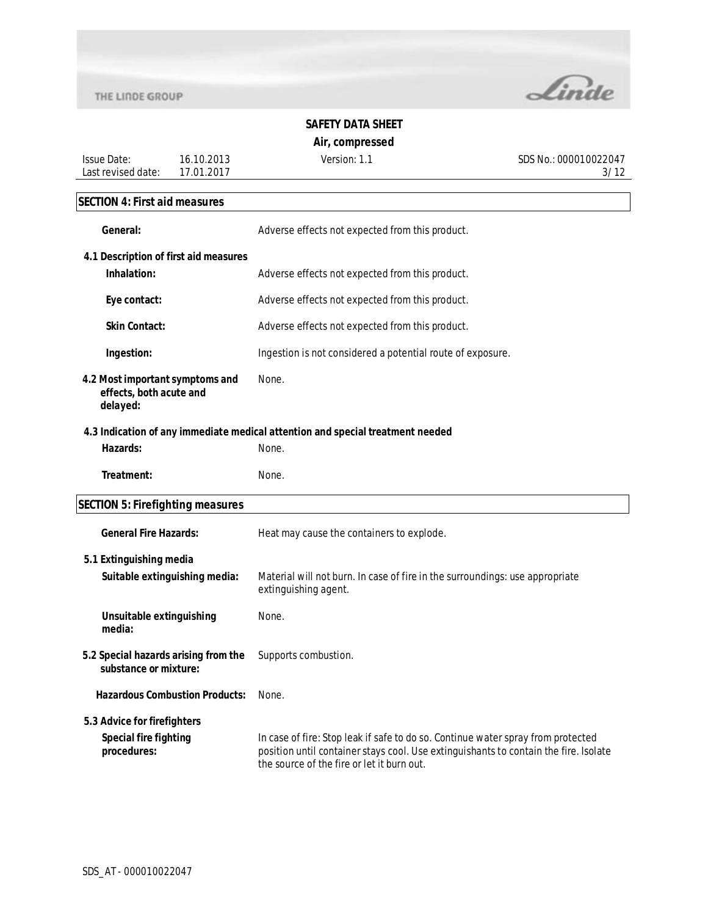Issue Date:



# **SAFETY DATA SHEET**

**Air, compressed**

Version: 1.1 SDS No.: 000010022047 3/12

# **SECTION 4: First aid measures**

Last revised date: 17.01.2017

16.10.2013

| General:                                                               | Adverse effects not expected from this product.                                                      |  |
|------------------------------------------------------------------------|------------------------------------------------------------------------------------------------------|--|
| 4.1 Description of first aid measures                                  |                                                                                                      |  |
| Inhalation:                                                            | Adverse effects not expected from this product.                                                      |  |
| Eye contact:                                                           | Adverse effects not expected from this product.                                                      |  |
| <b>Skin Contact:</b>                                                   | Adverse effects not expected from this product.                                                      |  |
| Ingestion:                                                             | Ingestion is not considered a potential route of exposure.                                           |  |
| 4.2 Most important symptoms and<br>effects, both acute and<br>delayed: | None.                                                                                                |  |
|                                                                        | 4.3 Indication of any immediate medical attention and special treatment needed                       |  |
| Hazards:                                                               | None.                                                                                                |  |
| Treatment:                                                             | None.                                                                                                |  |
| <b>SECTION 5: Firefighting measures</b>                                |                                                                                                      |  |
| <b>General Fire Hazards:</b>                                           | Heat may cause the containers to explode.                                                            |  |
| 5.1 Extinguishing media                                                |                                                                                                      |  |
| Suitable extinguishing media:                                          | Material will not burn. In case of fire in the surroundings: use appropriate<br>extinguishing agent. |  |
| Unsuitable extinguishing<br>media:                                     | None.                                                                                                |  |
| 5.2 Special hazards arising from the<br>substance or mixture:          | Supports combustion.                                                                                 |  |
| <b>Hazardous Combustion Products:</b>                                  | None.                                                                                                |  |
| 5.3 Advice for firefighters                                            |                                                                                                      |  |
| <b>Special fire fighting</b><br>procedures:                            | In case of fire: Stop leak if safe to do so. Continue water spray from protected                     |  |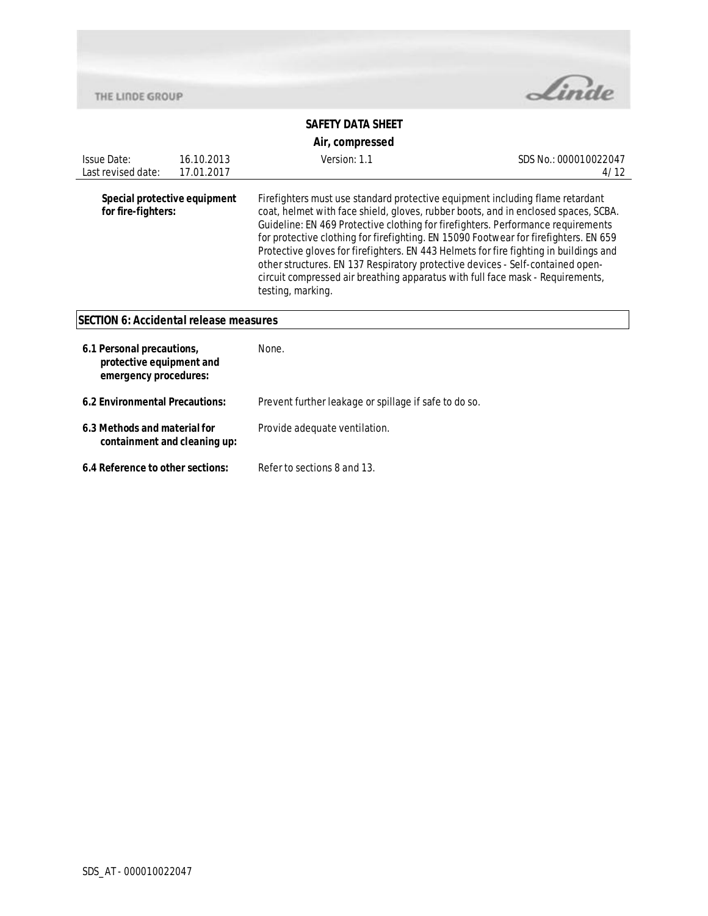

# **SAFETY DATA SHEET**

### **Air, compressed**

| <b>Issue Date:</b><br>Last revised date:                                       | 16.10.2013<br>17.01.2017 | Version: 1.1                                                                                                                                                                                                                                                                                                                                                                                                                                                                                                                                                                                                                      | SDS No.: 000010022047<br>4/12 |
|--------------------------------------------------------------------------------|--------------------------|-----------------------------------------------------------------------------------------------------------------------------------------------------------------------------------------------------------------------------------------------------------------------------------------------------------------------------------------------------------------------------------------------------------------------------------------------------------------------------------------------------------------------------------------------------------------------------------------------------------------------------------|-------------------------------|
| Special protective equipment<br>for fire-fighters:                             |                          | Firefighters must use standard protective equipment including flame retardant<br>coat, helmet with face shield, gloves, rubber boots, and in enclosed spaces, SCBA.<br>Guideline: EN 469 Protective clothing for firefighters. Performance requirements<br>for protective clothing for firefighting. EN 15090 Footwear for firefighters. EN 659<br>Protective gloves for firefighters. EN 443 Helmets for fire fighting in buildings and<br>other structures. EN 137 Respiratory protective devices - Self-contained open-<br>circuit compressed air breathing apparatus with full face mask - Requirements,<br>testing, marking. |                               |
| <b>SECTION 6: Accidental release measures</b>                                  |                          |                                                                                                                                                                                                                                                                                                                                                                                                                                                                                                                                                                                                                                   |                               |
| 6.1 Personal precautions,<br>protective equipment and<br>emergency procedures: |                          | None.                                                                                                                                                                                                                                                                                                                                                                                                                                                                                                                                                                                                                             |                               |
| 6.2 Environmental Precautions:                                                 |                          | Prevent further leakage or spillage if safe to do so.                                                                                                                                                                                                                                                                                                                                                                                                                                                                                                                                                                             |                               |
| 6.3 Methods and material for                                                   |                          | Provide adequate ventilation.                                                                                                                                                                                                                                                                                                                                                                                                                                                                                                                                                                                                     |                               |

**6.4 Reference to other sections:** Refer to sections 8 and 13.

**containment and cleaning up:**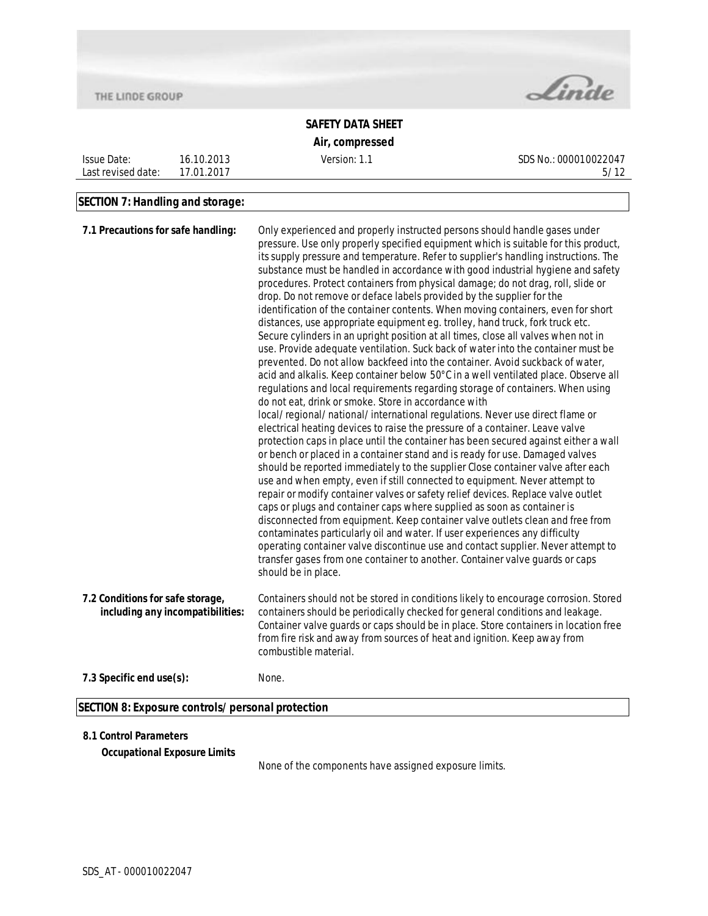

Issue Date: Last revised date:



# **SAFETY DATA SHEET**

**Air, compressed**

Version: 1.1 SDS No.: 000010022047 5/12

#### **SECTION 7: Handling and storage:**

16.10.2013 17.01.2017

| pressure. Use only properly specified equipment which is suitable for this product,<br>its supply pressure and temperature. Refer to supplier's handling instructions. The<br>substance must be handled in accordance with good industrial hygiene and safety<br>procedures. Protect containers from physical damage; do not drag, roll, slide or<br>drop. Do not remove or deface labels provided by the supplier for the<br>identification of the container contents. When moving containers, even for short<br>distances, use appropriate equipment eg. trolley, hand truck, fork truck etc.<br>Secure cylinders in an upright position at all times, close all valves when not in<br>use. Provide adequate ventilation. Suck back of water into the container must be<br>prevented. Do not allow backfeed into the container. Avoid suckback of water,<br>acid and alkalis. Keep container below 50°C in a well ventilated place. Observe all<br>regulations and local requirements regarding storage of containers. When using<br>do not eat, drink or smoke. Store in accordance with<br>local/regional/national/international regulations. Never use direct flame or<br>electrical heating devices to raise the pressure of a container. Leave valve<br>protection caps in place until the container has been secured against either a wall<br>or bench or placed in a container stand and is ready for use. Damaged valves |
|------------------------------------------------------------------------------------------------------------------------------------------------------------------------------------------------------------------------------------------------------------------------------------------------------------------------------------------------------------------------------------------------------------------------------------------------------------------------------------------------------------------------------------------------------------------------------------------------------------------------------------------------------------------------------------------------------------------------------------------------------------------------------------------------------------------------------------------------------------------------------------------------------------------------------------------------------------------------------------------------------------------------------------------------------------------------------------------------------------------------------------------------------------------------------------------------------------------------------------------------------------------------------------------------------------------------------------------------------------------------------------------------------------------------------------|
| should be reported immediately to the supplier Close container valve after each<br>use and when empty, even if still connected to equipment. Never attempt to<br>repair or modify container valves or safety relief devices. Replace valve outlet<br>caps or plugs and container caps where supplied as soon as container is<br>disconnected from equipment. Keep container valve outlets clean and free from<br>contaminates particularly oil and water. If user experiences any difficulty<br>operating container valve discontinue use and contact supplier. Never attempt to<br>transfer gases from one container to another. Container valve guards or caps                                                                                                                                                                                                                                                                                                                                                                                                                                                                                                                                                                                                                                                                                                                                                                   |
| Containers should not be stored in conditions likely to encourage corrosion. Stored<br>containers should be periodically checked for general conditions and leakage.<br>Container valve guards or caps should be in place. Store containers in location free<br>from fire risk and away from sources of heat and ignition. Keep away from                                                                                                                                                                                                                                                                                                                                                                                                                                                                                                                                                                                                                                                                                                                                                                                                                                                                                                                                                                                                                                                                                          |
|                                                                                                                                                                                                                                                                                                                                                                                                                                                                                                                                                                                                                                                                                                                                                                                                                                                                                                                                                                                                                                                                                                                                                                                                                                                                                                                                                                                                                                    |
|                                                                                                                                                                                                                                                                                                                                                                                                                                                                                                                                                                                                                                                                                                                                                                                                                                                                                                                                                                                                                                                                                                                                                                                                                                                                                                                                                                                                                                    |

#### **8.1 Control Parameters**

**Occupational Exposure Limits**

None of the components have assigned exposure limits.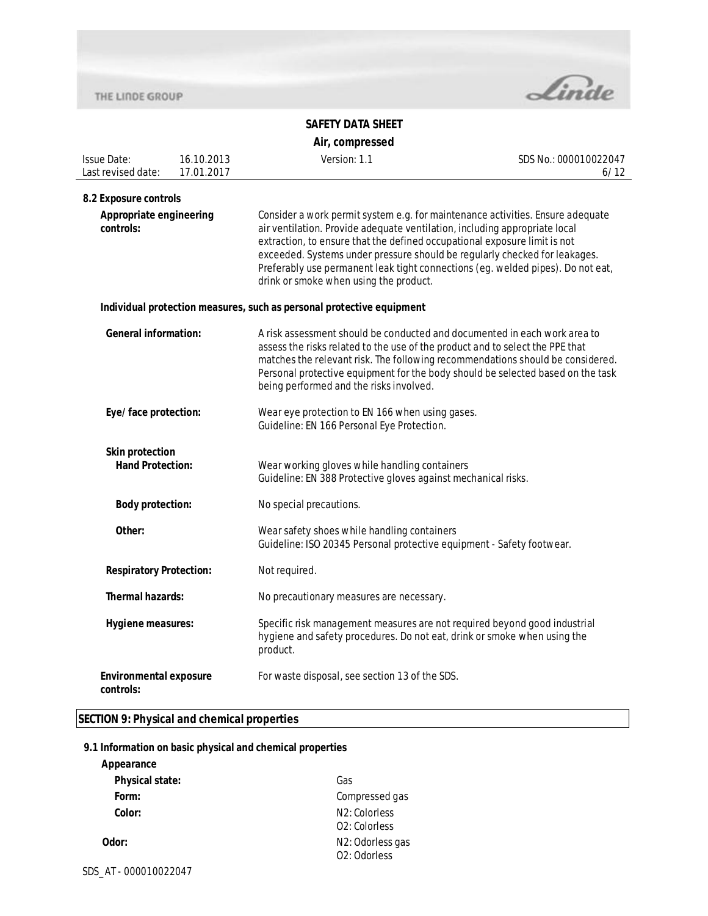

### **SAFETY DATA SHEET Air, compressed**

| <b>Issue Date:</b><br>Last revised date:          | 16.10.2013<br>17.01.2017 | Version: 1.1                                                                                                                                                                                                                                                                                                                                                                                                                                         | SDS No.: 000010022047<br>6/12 |  |
|---------------------------------------------------|--------------------------|------------------------------------------------------------------------------------------------------------------------------------------------------------------------------------------------------------------------------------------------------------------------------------------------------------------------------------------------------------------------------------------------------------------------------------------------------|-------------------------------|--|
| 8.2 Exposure controls                             |                          |                                                                                                                                                                                                                                                                                                                                                                                                                                                      |                               |  |
| Appropriate engineering<br>controls:              |                          | Consider a work permit system e.g. for maintenance activities. Ensure adequate<br>air ventilation. Provide adequate ventilation, including appropriate local<br>extraction, to ensure that the defined occupational exposure limit is not<br>exceeded. Systems under pressure should be regularly checked for leakages.<br>Preferably use permanent leak tight connections (eg. welded pipes). Do not eat,<br>drink or smoke when using the product. |                               |  |
|                                                   |                          | Individual protection measures, such as personal protective equipment                                                                                                                                                                                                                                                                                                                                                                                |                               |  |
| <b>General information:</b>                       |                          | A risk assessment should be conducted and documented in each work area to<br>assess the risks related to the use of the product and to select the PPE that<br>matches the relevant risk. The following recommendations should be considered.<br>Personal protective equipment for the body should be selected based on the task<br>being performed and the risks involved.                                                                           |                               |  |
| Eye/face protection:                              |                          | Wear eye protection to EN 166 when using gases.<br>Guideline: EN 166 Personal Eye Protection.                                                                                                                                                                                                                                                                                                                                                        |                               |  |
| <b>Skin protection</b><br><b>Hand Protection:</b> |                          | Wear working gloves while handling containers<br>Guideline: EN 388 Protective gloves against mechanical risks.                                                                                                                                                                                                                                                                                                                                       |                               |  |
| <b>Body protection:</b>                           |                          | No special precautions.                                                                                                                                                                                                                                                                                                                                                                                                                              |                               |  |
| Other:                                            |                          | Wear safety shoes while handling containers<br>Guideline: ISO 20345 Personal protective equipment - Safety footwear.                                                                                                                                                                                                                                                                                                                                 |                               |  |
| <b>Respiratory Protection:</b>                    |                          | Not required.                                                                                                                                                                                                                                                                                                                                                                                                                                        |                               |  |
| <b>Thermal hazards:</b>                           |                          | No precautionary measures are necessary.                                                                                                                                                                                                                                                                                                                                                                                                             |                               |  |
| Hygiene measures:                                 |                          | Specific risk management measures are not required beyond good industrial<br>hygiene and safety procedures. Do not eat, drink or smoke when using the<br>product.                                                                                                                                                                                                                                                                                    |                               |  |
| <b>Environmental exposure</b><br>controls:        |                          | For waste disposal, see section 13 of the SDS.                                                                                                                                                                                                                                                                                                                                                                                                       |                               |  |

### **SECTION 9: Physical and chemical properties**

### **9.1 Information on basic physical and chemical properties**

| Appearance             |                                                          |
|------------------------|----------------------------------------------------------|
| <b>Physical state:</b> | Gas                                                      |
| Form:                  | Compressed gas                                           |
| Color:                 | N <sub>2</sub> : Colorless<br>O <sub>2</sub> : Colorless |
| Odor:                  | N <sub>2</sub> : Odorless gas<br>02: Odorless            |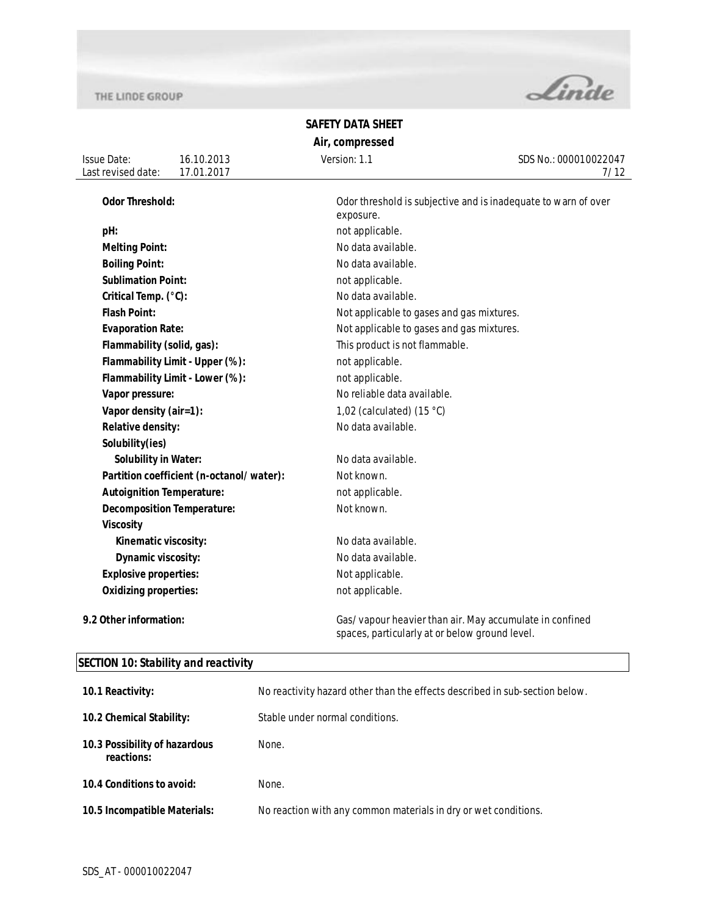

# **SAFETY DATA SHEET Air, compressed**

| Issue Date:        | 16.10.2013     | Version: 1.1 | SDS No.: 000010022047 |
|--------------------|----------------|--------------|-----------------------|
| Last revised date: | .2017<br>17 N1 |              | 110                   |
|                    |                |              |                       |

| <b>Odor Threshold:</b>                   | Odor threshold is subjective and is inadequate to warn of over<br>exposure.                               |
|------------------------------------------|-----------------------------------------------------------------------------------------------------------|
| pH:                                      | not applicable.                                                                                           |
| <b>Melting Point:</b>                    | No data available.                                                                                        |
| <b>Boiling Point:</b>                    | No data available.                                                                                        |
| <b>Sublimation Point:</b>                | not applicable.                                                                                           |
| Critical Temp. (°C):                     | No data available.                                                                                        |
| <b>Flash Point:</b>                      | Not applicable to gases and gas mixtures.                                                                 |
| <b>Evaporation Rate:</b>                 | Not applicable to gases and gas mixtures.                                                                 |
| Flammability (solid, gas):               | This product is not flammable.                                                                            |
| Flammability Limit - Upper (%):          | not applicable.                                                                                           |
| Flammability Limit - Lower (%):          | not applicable.                                                                                           |
| Vapor pressure:                          | No reliable data available.                                                                               |
| Vapor density (air=1):                   | 1,02 (calculated) $(15 °C)$                                                                               |
| Relative density:                        | No data available.                                                                                        |
| Solubility(ies)                          |                                                                                                           |
| <b>Solubility in Water:</b>              | No data available.                                                                                        |
| Partition coefficient (n-octanol/water): | Not known.                                                                                                |
| <b>Autoignition Temperature:</b>         | not applicable.                                                                                           |
| <b>Decomposition Temperature:</b>        | Not known.                                                                                                |
| <b>Viscosity</b>                         |                                                                                                           |
| Kinematic viscosity:                     | No data available.                                                                                        |
| Dynamic viscosity:                       | No data available.                                                                                        |
| <b>Explosive properties:</b>             | Not applicable.                                                                                           |
| <b>Oxidizing properties:</b>             | not applicable.                                                                                           |
| 9.2 Other information:                   | Gas/vapour heavier than air. May accumulate in confined<br>spaces, particularly at or below ground level. |

# **SECTION 10: Stability and reactivity**

| 10.1 Reactivity:                            | No reactivity hazard other than the effects described in sub-section below. |
|---------------------------------------------|-----------------------------------------------------------------------------|
| 10.2 Chemical Stability:                    | Stable under normal conditions.                                             |
| 10.3 Possibility of hazardous<br>reactions: | None.                                                                       |
| 10.4 Conditions to avoid:                   | None.                                                                       |
| 10.5 Incompatible Materials:                | No reaction with any common materials in dry or wet conditions.             |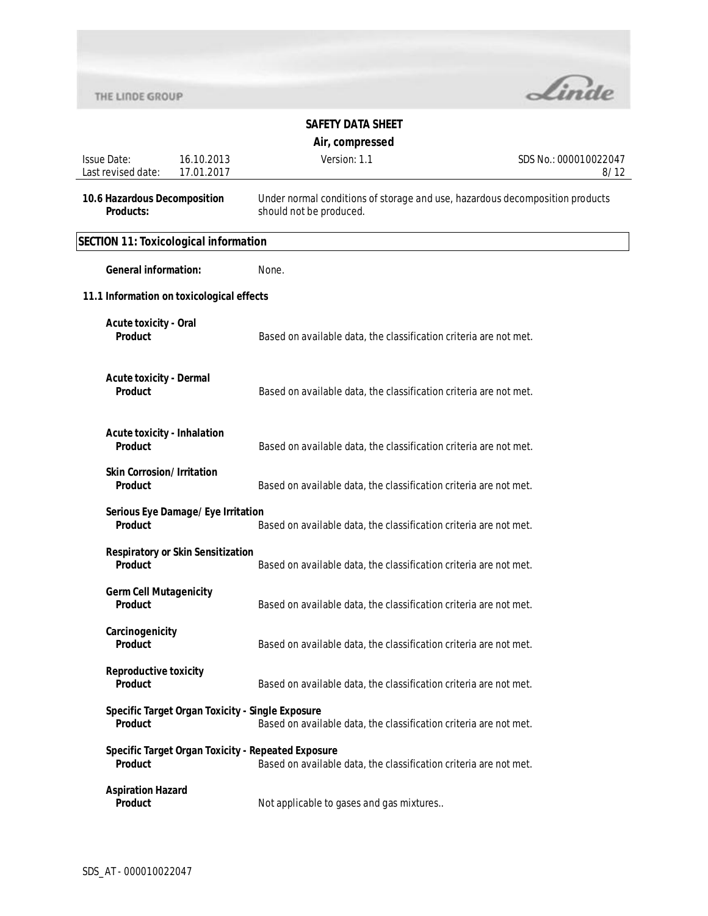

# **SAFETY DATA SHEET**

**Air, compressed**

| <b>Issue Date:</b><br>Last revised date:             | 16.10.2013<br>17.01.2017                 | Version: 1.1                                                                                                            | SDS No.: 000010022047<br>8/12 |
|------------------------------------------------------|------------------------------------------|-------------------------------------------------------------------------------------------------------------------------|-------------------------------|
| 10.6 Hazardous Decomposition<br><b>Products:</b>     |                                          | Under normal conditions of storage and use, hazardous decomposition products<br>should not be produced.                 |                               |
| <b>SECTION 11: Toxicological information</b>         |                                          |                                                                                                                         |                               |
| <b>General information:</b>                          |                                          | None.                                                                                                                   |                               |
| 11.1 Information on toxicological effects            |                                          |                                                                                                                         |                               |
| <b>Acute toxicity - Oral</b><br><b>Product</b>       |                                          | Based on available data, the classification criteria are not met.                                                       |                               |
| <b>Acute toxicity - Dermal</b><br>Product            |                                          | Based on available data, the classification criteria are not met.                                                       |                               |
| <b>Acute toxicity - Inhalation</b><br><b>Product</b> |                                          | Based on available data, the classification criteria are not met.                                                       |                               |
| <b>Skin Corrosion/Irritation</b><br><b>Product</b>   |                                          | Based on available data, the classification criteria are not met.                                                       |                               |
| Product                                              | Serious Eye Damage/Eye Irritation        | Based on available data, the classification criteria are not met.                                                       |                               |
| Product                                              | <b>Respiratory or Skin Sensitization</b> | Based on available data, the classification criteria are not met.                                                       |                               |
| <b>Germ Cell Mutagenicity</b><br><b>Product</b>      |                                          | Based on available data, the classification criteria are not met.                                                       |                               |
| Carcinogenicity<br>Product                           |                                          | Based on available data, the classification criteria are not met.                                                       |                               |
| <b>Reproductive toxicity</b><br>Product              |                                          | Based on available data, the classification criteria are not met.                                                       |                               |
| <b>Product</b>                                       |                                          | Specific Target Organ Toxicity - Single Exposure<br>Based on available data, the classification criteria are not met.   |                               |
| <b>Product</b>                                       |                                          | Specific Target Organ Toxicity - Repeated Exposure<br>Based on available data, the classification criteria are not met. |                               |
| <b>Aspiration Hazard</b><br><b>Product</b>           |                                          | Not applicable to gases and gas mixtures                                                                                |                               |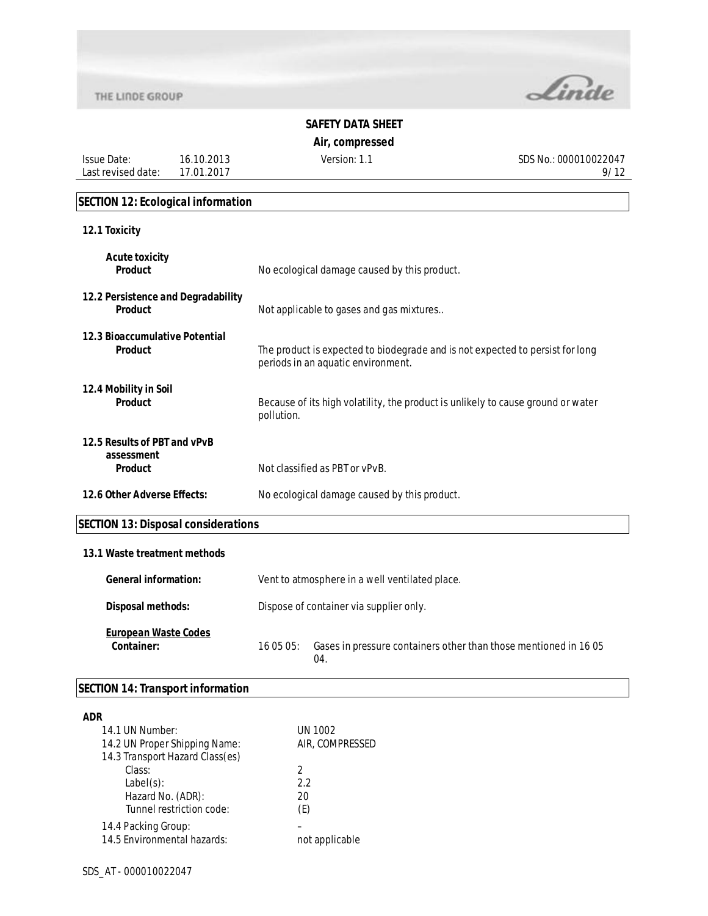Issue Date: Last revised date:



# **SAFETY DATA SHEET**

**Air, compressed**

Version: 1.1 SDS No.: 000010022047 9/12

#### **SECTION 12: Ecological information**

16.10.2013 17.01.2017

| 12.1 Toxicity                                                |                                                                                                                     |
|--------------------------------------------------------------|---------------------------------------------------------------------------------------------------------------------|
| <b>Acute toxicity</b><br><b>Product</b>                      | No ecological damage caused by this product.                                                                        |
| 12.2 Persistence and Degradability<br><b>Product</b>         | Not applicable to gases and gas mixtures                                                                            |
| 12.3 Bioaccumulative Potential<br><b>Product</b>             | The product is expected to biodegrade and is not expected to persist for long<br>periods in an aquatic environment. |
| 12.4 Mobility in Soil<br><b>Product</b>                      | Because of its high volatility, the product is unlikely to cause ground or water<br>pollution.                      |
| 12.5 Results of PBT and vPvB<br>assessment<br><b>Product</b> | Not classified as PBT or vPvB.                                                                                      |
| 12.6 Other Adverse Effects:                                  | No ecological damage caused by this product.                                                                        |

# **SECTION 13: Disposal considerations**

### **13.1 Waste treatment methods**

| <b>General information:</b>               | Vent to atmosphere in a well ventilated place. |                                                                        |
|-------------------------------------------|------------------------------------------------|------------------------------------------------------------------------|
| Disposal methods:                         | Dispose of container via supplier only.        |                                                                        |
| <b>European Waste Codes</b><br>Container: | 160505:                                        | Gases in pressure containers other than those mentioned in 1605<br>04. |

# **SECTION 14: Transport information**

| <b>ADR</b>                      |                 |
|---------------------------------|-----------------|
| 14.1 UN Number:                 | UN 1002         |
| 14.2 UN Proper Shipping Name:   | AIR. COMPRESSED |
| 14.3 Transport Hazard Class(es) |                 |
| Class:                          | $\mathcal{P}$   |
| $Label(s)$ :                    | 2.2             |
| Hazard No. (ADR):               | 20              |
| Tunnel restriction code:        | (E)             |
| 14.4 Packing Group:             |                 |
| 14.5 Environmental hazards:     | not applicable  |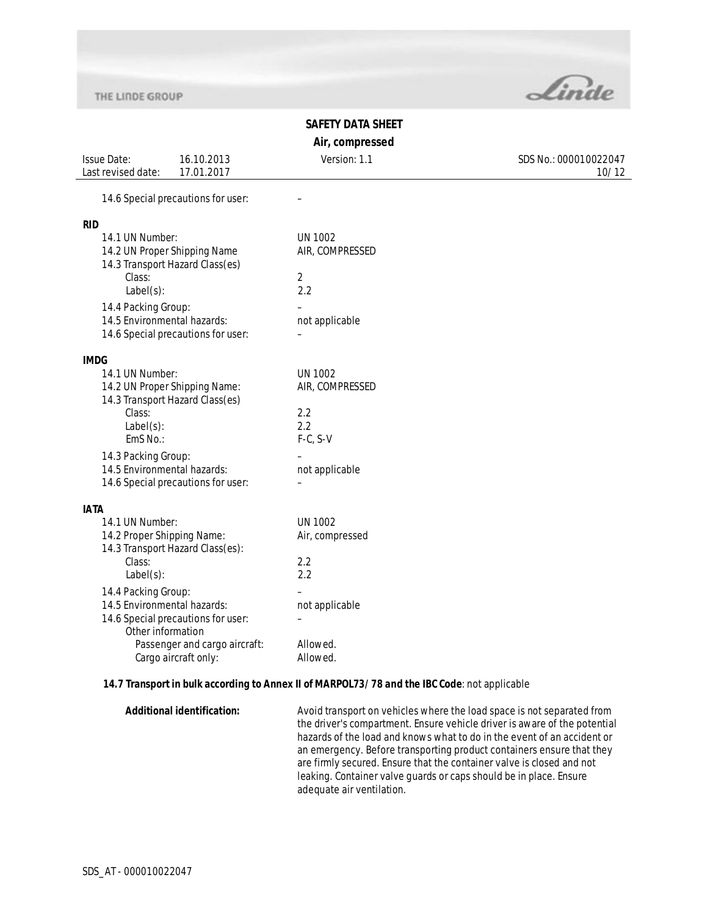

10/12

# **SAFETY DATA SHEET**

**Air, compressed**

Issue Date: Last revised date: 16.10.2013 17.01.2017 Version: 1.1 SDS No.: 000010022047 14.6 Special precautions for user: – **RID** 14.1 UN Number: UN 1002<br>14.2 UN Proper Shipping Name AIR, COMPRESSED 14.2 UN Proper Shipping Name 14.3 Transport Hazard Class(es)

| T4.5 Trafisport Hazaru Grass(es)   |                 |
|------------------------------------|-----------------|
| Class:                             | 2               |
| $Label(s)$ :                       | 2.2             |
| 14.4 Packing Group:                |                 |
| 14.5 Environmental hazards:        | not applicable  |
| 14.6 Special precautions for user: |                 |
| <b>IMDG</b>                        |                 |
| 14.1 UN Number:                    | <b>UN 1002</b>  |
| 14.2 UN Proper Shipping Name:      | AIR, COMPRESSED |
| 14.3 Transport Hazard Class(es)    |                 |
| Class:                             | 2.2             |
| $Label(s)$ :                       | 2.2             |
| EmS No.:                           | $F-C, S-V$      |
| 14.3 Packing Group:                |                 |
| 14.5 Environmental hazards:        | not applicable  |
| 14.6 Special precautions for user: |                 |
| IATA                               |                 |
| 14.1 UN Number:                    | <b>UN 1002</b>  |
| 14.2 Proper Shipping Name:         | Air, compressed |
| 14.3 Transport Hazard Class(es):   |                 |
| Class:                             | 2.2             |
| $Label(s)$ :                       | 2.2             |
| 14.4 Packing Group:                |                 |
| 14.5 Environmental hazards:        | not applicable  |
| 14.6 Special precautions for user: |                 |
| Other information                  |                 |
| Passenger and cargo aircraft:      | Allowed.        |
| Cargo aircraft only:               | Allowed.        |

### **14.7 Transport in bulk according to Annex II of MARPOL73/78 and the IBC Code**: not applicable

**Additional identification:** Avoid transport on vehicles where the load space is not separated from the driver's compartment. Ensure vehicle driver is aware of the potential hazards of the load and knows what to do in the event of an accident or an emergency. Before transporting product containers ensure that they are firmly secured. Ensure that the container valve is closed and not leaking. Container valve guards or caps should be in place. Ensure adequate air ventilation.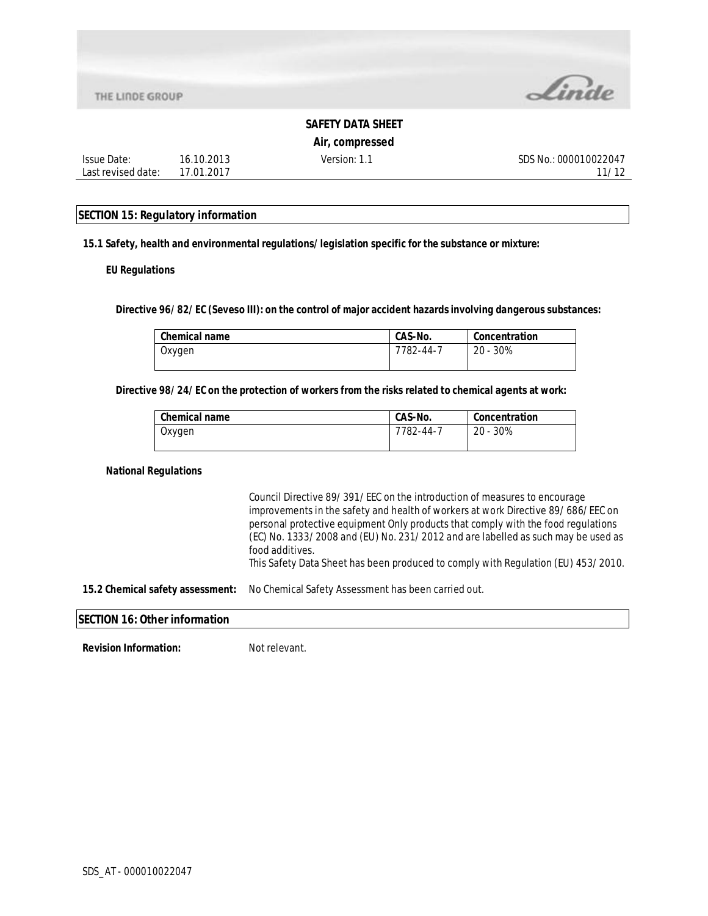Issue Date: Last revised date:



### **SAFETY DATA SHEET**

**Air, compressed**

Version: 1.1 SDS No.: 000010022047 11/12

#### **SECTION 15: Regulatory information**

16.10.2013 17.01.2017

**15.1 Safety, health and environmental regulations/legislation specific for the substance or mixture:**

#### **EU Regulations**

**Directive 96/82/EC (Seveso III): on the control of major accident hazards involving dangerous substances:** 

| <b>Chemical name</b> | CAS-No.   | Concentration |
|----------------------|-----------|---------------|
| Oxygen               | 7782-44-7 | $20 - 30\%$   |

#### **Directive 98/24/EC on the protection of workers from the risks related to chemical agents at work:**

| <b>Chemical name</b> | CAS-No.         | Concentration |
|----------------------|-----------------|---------------|
| Oxygen               | $7782 - 44 - 7$ | $20 - 30\%$   |

#### **National Regulations**

Council Directive 89/391/EEC on the introduction of measures to encourage improvements in the safety and health of workers at work Directive 89/686/EEC on personal protective equipment Only products that comply with the food regulations (EC) No. 1333/2008 and (EU) No. 231/2012 and are labelled as such may be used as food additives. This Safety Data Sheet has been produced to comply with Regulation (EU) 453/2010. **15.2 Chemical safety assessment:** No Chemical Safety Assessment has been carried out. **SECTION 16: Other information Revision Information:** Not relevant.